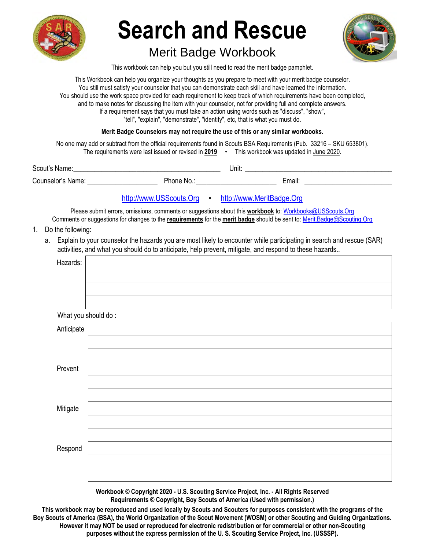

# Merit Badge Workbook



This workbook can help you but you still need to read the merit badge pamphlet.

This Workbook can help you organize your thoughts as you prepare to meet with your merit badge counselor. You still must satisfy your counselor that you can demonstrate each skill and have learned the information. You should use the work space provided for each requirement to keep track of which requirements have been completed, and to make notes for discussing the item with your counselor, not for providing full and complete answers. If a requirement says that you must take an action using words such as "discuss", "show", "tell", "explain", "demonstrate", "identify", etc, that is what you must do.

**Merit Badge Counselors may not require the use of this or any similar workbooks.**

 No one may add or subtract from the official requirements found in Scouts BSA Requirements (Pub. 33216 – SKU 653801). The requirements were last issued or revised in **2019** • This workbook was updated in June 2020.

| Scout's Name:     |            | Unit: |        |
|-------------------|------------|-------|--------|
| Counselor's Name: | Phone No.: |       | Email: |

# http://www.USScouts.Org • http://www.MeritBadge.Org

Please submit errors, omissions, comments or suggestions about this **workbook** to: Workbooks@USScouts.Org Comments or suggestions for changes to the **requirements** for the **merit badge** should be sent to: Merit.Badge@Scouting.Org

1. Do the following:

a. Explain to your counselor the hazards you are most likely to encounter while participating in search and rescue (SAR) activities, and what you should do to anticipate, help prevent, mitigate, and respond to these hazards..

| Hazards:   |                     |
|------------|---------------------|
|            |                     |
|            |                     |
|            |                     |
|            | What you should do: |
| Anticipate |                     |
|            |                     |
|            |                     |
| Prevent    |                     |
|            |                     |
|            |                     |
| Mitigate   |                     |
|            |                     |
|            |                     |
| Respond    |                     |
|            |                     |
|            |                     |
|            |                     |

**Workbook © Copyright 2020 - U.S. Scouting Service Project, Inc. - All Rights Reserved Requirements © Copyright, Boy Scouts of America (Used with permission.)** 

**This workbook may be reproduced and used locally by Scouts and Scouters for purposes consistent with the programs of the Boy Scouts of America (BSA), the World Organization of the Scout Movement (WOSM) or other Scouting and Guiding Organizations. However it may NOT be used or reproduced for electronic redistribution or for commercial or other non-Scouting purposes without the express permission of the U. S. Scouting Service Project, Inc. (USSSP).**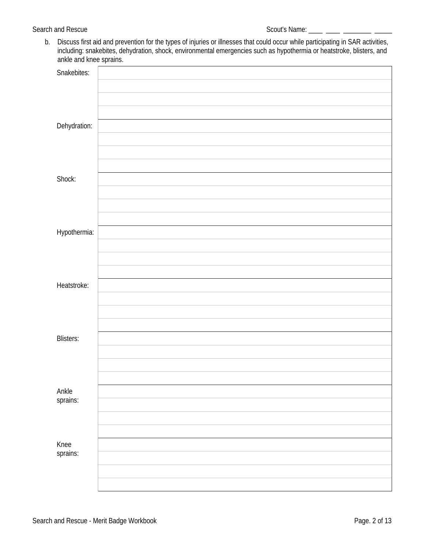b. Discuss first aid and prevention for the types of injuries or illnesses that could occur while participating in SAR activities, including: snakebites, dehydration, shock, environmental emergencies such as hypothermia or heatstroke, blisters, and ankle and knee sprains.

|                  | л. |
|------------------|----|
| Snakebites:      |    |
|                  |    |
|                  |    |
|                  |    |
|                  |    |
|                  |    |
|                  |    |
| Dehydration:     |    |
|                  |    |
|                  |    |
|                  |    |
|                  |    |
|                  |    |
| Shock:           |    |
|                  |    |
|                  |    |
|                  |    |
|                  |    |
|                  |    |
|                  |    |
| Hypothermia:     |    |
|                  |    |
|                  |    |
|                  |    |
|                  |    |
|                  |    |
|                  |    |
| Heatstroke:      |    |
|                  |    |
|                  |    |
|                  |    |
|                  |    |
|                  |    |
|                  |    |
| <b>Blisters:</b> |    |
|                  |    |
|                  |    |
|                  |    |
|                  |    |
|                  |    |
| Ankle            |    |
| sprains:         |    |
|                  |    |
|                  |    |
|                  |    |
|                  |    |
|                  |    |
| Knee<br>sprains: |    |
|                  |    |
|                  |    |
|                  |    |
|                  |    |
|                  |    |
|                  |    |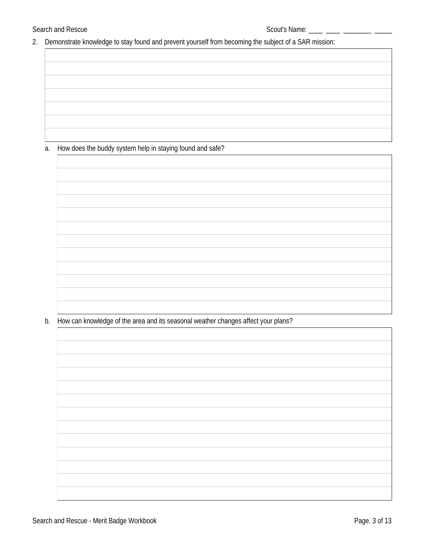$\Box$ 

2. Demonstrate knowledge to stay found and prevent yourself from becoming the subject of a SAR mission:

# a. How does the buddy system help in staying found and safe?

b. How can knowledge of the area and its seasonal weather changes affect your plans?

٦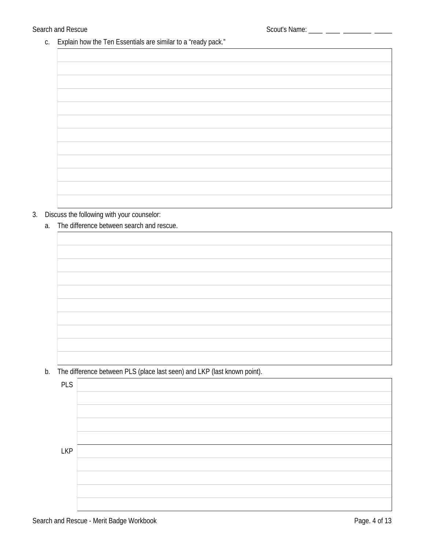c. Explain how the Ten Essentials are similar to a "ready pack."

# 3. Discuss the following with your counselor:

a. The difference between search and rescue.

b. The difference between PLS (place last seen) and LKP (last known point).

| <b>PLS</b> |  |
|------------|--|
|            |  |
|            |  |
|            |  |
|            |  |
| <b>LKP</b> |  |
|            |  |
|            |  |
|            |  |
|            |  |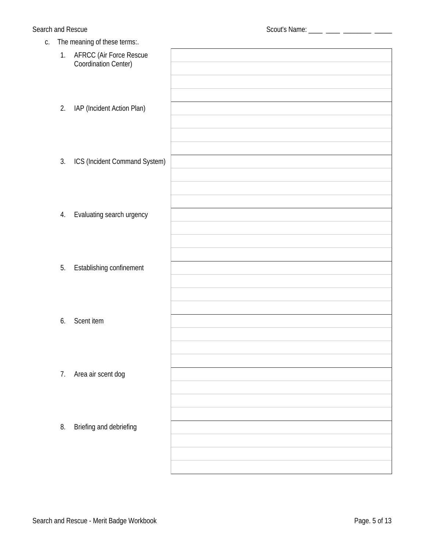| C. |    | The meaning of these terms:.                                  |  |
|----|----|---------------------------------------------------------------|--|
|    | 1. | <b>AFRCC (Air Force Rescue</b><br><b>Coordination Center)</b> |  |
|    | 2. | IAP (Incident Action Plan)                                    |  |
|    | 3. | ICS (Incident Command System)                                 |  |
|    | 4. | Evaluating search urgency                                     |  |
|    | 5. | <b>Establishing confinement</b>                               |  |
|    | 6. | <b>Scent item</b>                                             |  |
|    | 7. | Area air scent dog                                            |  |
|    | 8. | <b>Briefing and debriefing</b>                                |  |
|    |    |                                                               |  |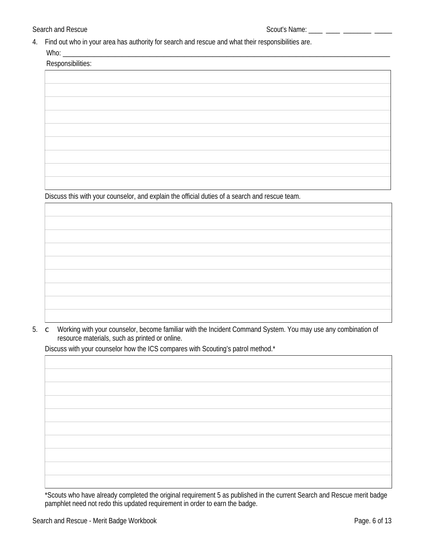4. Find out who in your area has authority for search and rescue and what their responsibilities are.  $M/hn$ 

| Discuss this with your compositor and contain the effected duties of a console and reserve to an |
|--------------------------------------------------------------------------------------------------|

Discuss this with your counselor, and explain the official duties of a search and rescue team.

5. C Working with your counselor, become familiar with the Incident Command System. You may use any combination of resource materials, such as printed or online.

Discuss with your counselor how the ICS compares with Scouting's patrol method.\*

\*Scouts who have already completed the original requirement 5 as published in the current Search and Rescue merit badge pamphlet need not redo this updated requirement in order to earn the badge.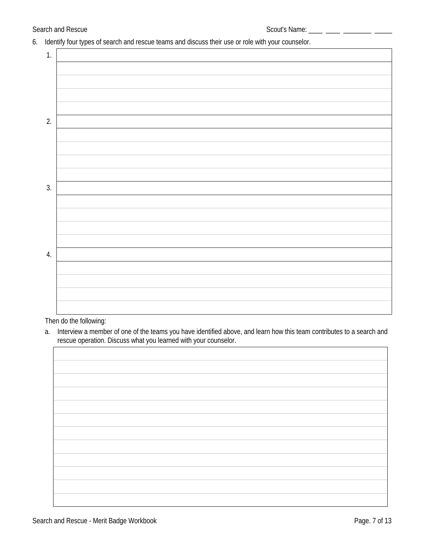6. Identify four types of search and rescue teams and discuss their use or role with your counselor.

| $\mathbf{1}$ |  |
|--------------|--|
|              |  |
|              |  |
|              |  |
|              |  |
| 2.           |  |
|              |  |
|              |  |
|              |  |
|              |  |
| 3.           |  |
|              |  |
|              |  |
|              |  |
|              |  |
| 4.           |  |
|              |  |
|              |  |
|              |  |
|              |  |

#### Then do the following:

a. Interview a member of one of the teams you have identified above, and learn how this team contributes to a search and rescue operation. Discuss what you learned with your counselor.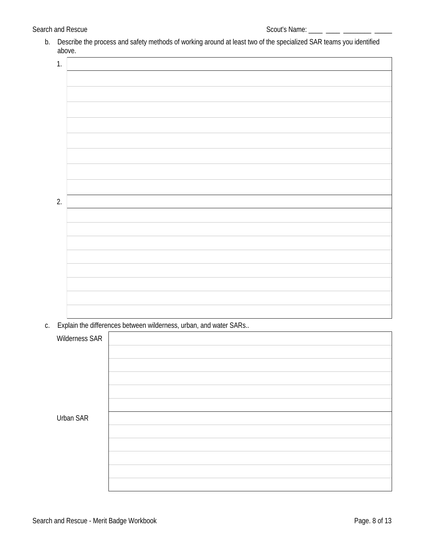b. Describe the process and safety methods of working around at least two of the specialized SAR teams you identified above.

| 1. |  |
|----|--|
|    |  |
|    |  |
|    |  |
|    |  |
|    |  |
|    |  |
|    |  |
|    |  |
| 2. |  |
|    |  |
|    |  |
|    |  |
|    |  |
|    |  |
|    |  |
|    |  |

c. Explain the differences between wilderness, urban, and water SARs..

| <b>Wilderness SAR</b> |  |
|-----------------------|--|
|                       |  |
|                       |  |
| <b>Urban SAR</b>      |  |
|                       |  |
|                       |  |
|                       |  |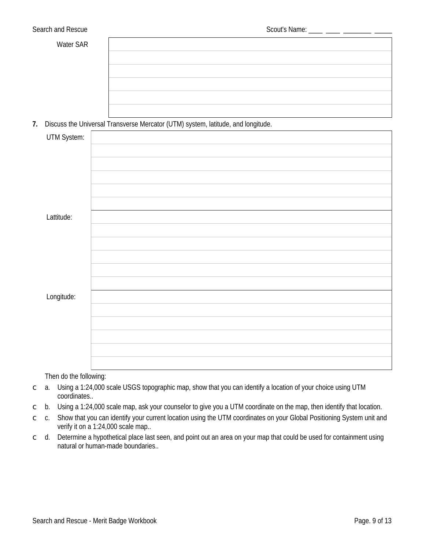| ater SAR |  |
|----------|--|
|          |  |
|          |  |
|          |  |
|          |  |
|          |  |
|          |  |
|          |  |
|          |  |
|          |  |
|          |  |
|          |  |
|          |  |
|          |  |
|          |  |
|          |  |
|          |  |
|          |  |
|          |  |
|          |  |
|          |  |

7. Discuss the Universal Transverse Mercator (UTM) system, latitude, and longitude.

| <b>UTM System:</b> |  |
|--------------------|--|
|                    |  |
|                    |  |
|                    |  |
|                    |  |
|                    |  |
| Lattitude:         |  |
|                    |  |
|                    |  |
|                    |  |
|                    |  |
| Longitude:         |  |
|                    |  |
|                    |  |
|                    |  |
|                    |  |
|                    |  |

Then do the following:

- a. Using a 1:24,000 scale USGS topographic map, show that you can identify a location of your choice using UTM  $\overline{C}$ coordinates..
- b. Using a 1:24,000 scale map, ask your counselor to give you a UTM coordinate on the map, then identify that location.  $\mathsf{C}$
- Show that you can identify your current location using the UTM coordinates on your Global Positioning System unit and  $c.$  $\overline{C}$ verify it on a 1:24,000 scale map..
- d. Determine a hypothetical place last seen, and point out an area on your map that could be used for containment using  $\mathsf C$ natural or human-made boundaries...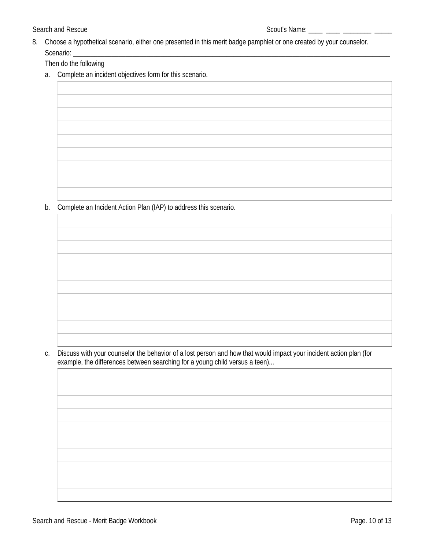8. Choose a hypothetical scenario, either one presented in this merit badge pamphlet or one created by your counselor. Scenario: \_

Then do the following

a. Complete an incident objectives form for this scenario.

b. Complete an Incident Action Plan (IAP) to address this scenario.

Discuss with your counselor the behavior of a lost person and how that would impact your incident action plan (for C. example, the differences between searching for a young child versus a teen)...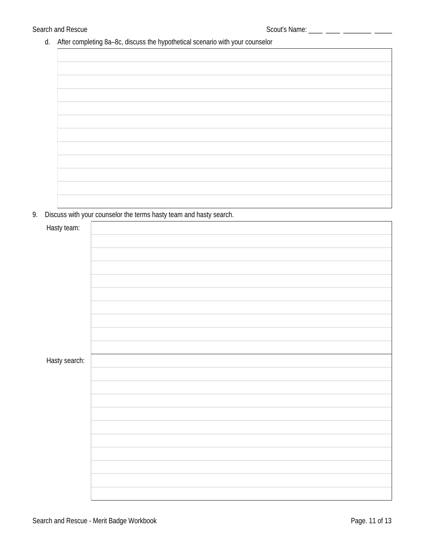d. After completing 8a-8c, discuss the hypothetical scenario with your counselor

9. Discuss with your counselor the terms hasty team and hasty search.

| Hasty team:   |  |
|---------------|--|
|               |  |
|               |  |
|               |  |
|               |  |
|               |  |
|               |  |
|               |  |
|               |  |
|               |  |
| Hasty search: |  |
|               |  |
|               |  |
|               |  |
|               |  |
|               |  |
|               |  |
|               |  |
|               |  |
|               |  |
|               |  |
|               |  |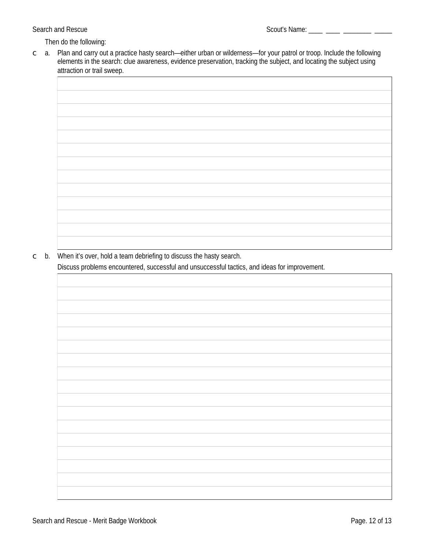Then do the following:

a. Plan and carry out a practice hasty search—either urban or wilderness—for your patrol or troop. Include the following  $\mathsf{C}$ elements in the search: clue awareness, evidence preservation, tracking the subject, and locating the subject using attraction or trail sweep.

 $\circ$  b. When it's over, hold a team debriefing to discuss the hasty search.

Discuss problems encountered, successful and unsuccessful tactics, and ideas for improvement.